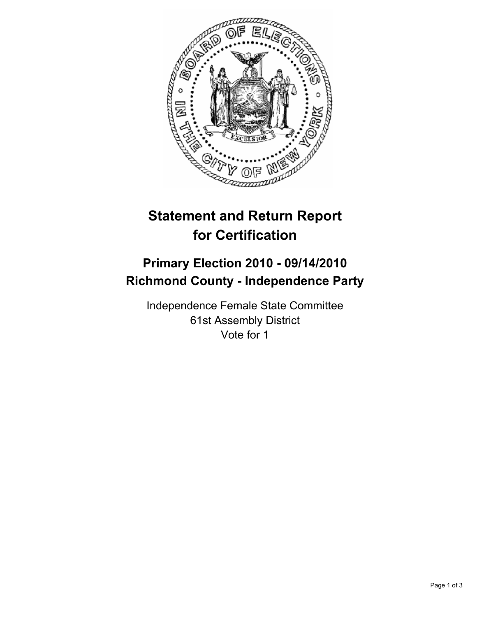

# **Statement and Return Report for Certification**

## **Primary Election 2010 - 09/14/2010 Richmond County - Independence Party**

Independence Female State Committee 61st Assembly District Vote for 1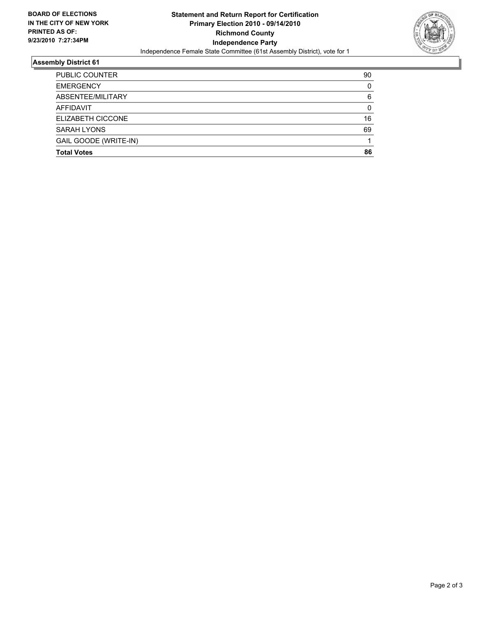

### **Assembly District 61**

| <b>Total Votes</b>    | 86 |
|-----------------------|----|
| GAIL GOODE (WRITE-IN) |    |
| <b>SARAH LYONS</b>    | 69 |
| ELIZABETH CICCONE     | 16 |
| <b>AFFIDAVIT</b>      | 0  |
| ABSENTEE/MILITARY     | 6  |
| <b>EMERGENCY</b>      | 0  |
| <b>PUBLIC COUNTER</b> | 90 |